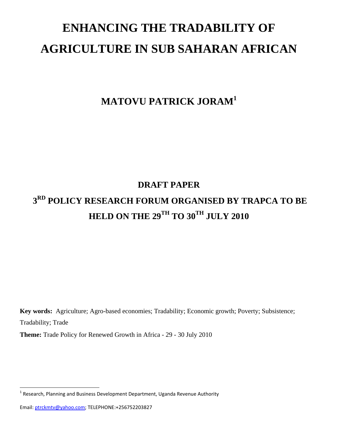# **ENHANCING THE TRADABILITY OF AGRICULTURE IN SUB SAHARAN AFRICAN**

## **MATOVU PATRICK JORAM1**

## **DRAFT PAPER**

## **3RD POLICY RESEARCH FORUM ORGANISED BY TRAPCA TO BE HELD ON THE 29<sup>TH</sup> TO 30<sup>TH</sup> JULY 2010**

**Key words:** Agriculture; Agro-based economies; Tradability; Economic growth; Poverty; Subsistence; Tradability; Trade

**Theme:** Trade Policy for Renewed Growth in Africa - 29 - 30 July 2010

 $1$  Research, Planning and Business Development Department, Uganda Revenue Authority

Email: ptrckmtv@yahoo.com; TELEPHONE:+256752203827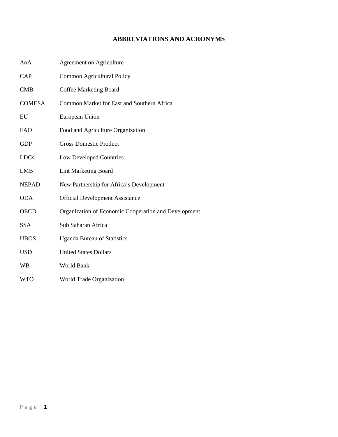#### **ABBREVIATIONS AND ACRONYMS**

| AoA           | <b>Agreement on Agriculture</b>                      |
|---------------|------------------------------------------------------|
| CAP           | Common Agricultural Policy                           |
| CMB           | <b>Coffee Marketing Board</b>                        |
| <b>COMESA</b> | Common Market for East and Southern Africa           |
| EU            | European Union                                       |
| <b>FAO</b>    | Food and Agriculture Organization                    |
| GDP           | <b>Gross Domestic Product</b>                        |
| <b>LDCs</b>   | Low Developed Countries                              |
| <b>LMB</b>    | <b>Lint Marketing Board</b>                          |
| <b>NEPAD</b>  | New Partnership for Africa's Development             |
| <b>ODA</b>    | <b>Official Development Assistance</b>               |
| <b>OECD</b>   | Organization of Economic Cooperation and Development |
| <b>SSA</b>    | Sub Saharan Africa                                   |
| <b>UBOS</b>   | <b>Uganda Bureau of Statistics</b>                   |
| <b>USD</b>    | <b>United States Dollars</b>                         |
| <b>WB</b>     | World Bank                                           |
| <b>WTO</b>    | World Trade Organization                             |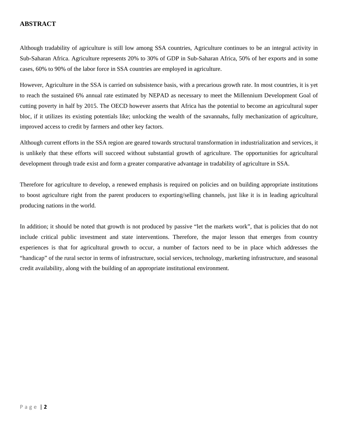#### **ABSTRACT**

Although tradability of agriculture is still low among SSA countries, Agriculture continues to be an integral activity in Sub-Saharan Africa. Agriculture represents 20% to 30% of GDP in Sub-Saharan Africa, 50% of her exports and in some cases, 60% to 90% of the labor force in SSA countries are employed in agriculture.

However, Agriculture in the SSA is carried on subsistence basis, with a precarious growth rate. In most countries, it is yet to reach the sustained 6% annual rate estimated by NEPAD as necessary to meet the Millennium Development Goal of cutting poverty in half by 2015. The OECD however asserts that Africa has the potential to become an agricultural super bloc, if it utilizes its existing potentials like; unlocking the wealth of the savannahs, fully mechanization of agriculture, improved access to credit by farmers and other key factors.

Although current efforts in the SSA region are geared towards structural transformation in industrialization and services, it is unlikely that these efforts will succeed without substantial growth of agriculture. The opportunities for agricultural development through trade exist and form a greater comparative advantage in tradability of agriculture in SSA.

Therefore for agriculture to develop, a renewed emphasis is required on policies and on building appropriate institutions to boost agriculture right from the parent producers to exporting/selling channels, just like it is in leading agricultural producing nations in the world.

In addition; it should be noted that growth is not produced by passive "let the markets work", that is policies that do not include critical public investment and state interventions. Therefore, the major lesson that emerges from country experiences is that for agricultural growth to occur, a number of factors need to be in place which addresses the "handicap" of the rural sector in terms of infrastructure, social services, technology, marketing infrastructure, and seasonal credit availability, along with the building of an appropriate institutional environment.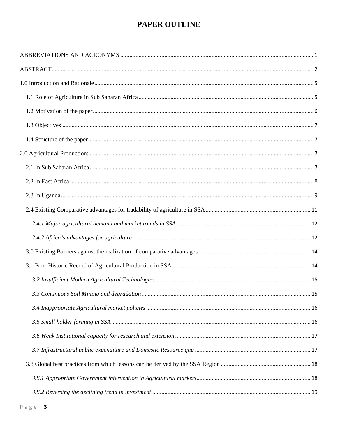### PAPER OUTLINE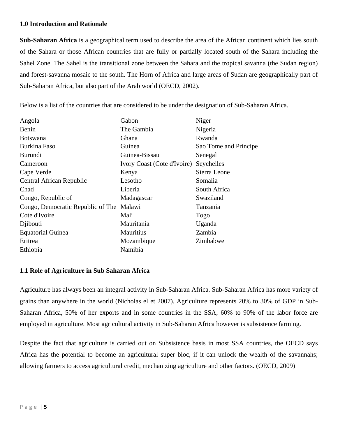#### **1.0 Introduction and Rationale**

**Sub-Saharan Africa** is a geographical term used to describe the area of the African continent which lies south of the Sahara or those African countries that are fully or partially located south of the Sahara including the Sahel Zone. The Sahel is the transitional zone between the Sahara and the tropical savanna (the Sudan region) and forest-savanna mosaic to the south. The Horn of Africa and large areas of Sudan are geographically part of Sub-Saharan Africa, but also part of the Arab world (OECD, 2002).

Below is a list of the countries that are considered to be under the designation of Sub-Saharan Africa.

| Angola                                   | Gabon                       | Niger                 |
|------------------------------------------|-----------------------------|-----------------------|
| Benin                                    | The Gambia                  | Nigeria               |
| <b>Botswana</b>                          | Ghana                       | Rwanda                |
| <b>Burkina Faso</b>                      | Guinea                      | Sao Tome and Principe |
| <b>Burundi</b>                           | Guinea-Bissau               | Senegal               |
| Cameroon                                 | Ivory Coast (Cote d'Ivoire) | Seychelles            |
| Cape Verde                               | Kenya                       | Sierra Leone          |
| Central African Republic                 | Lesotho                     | Somalia               |
| Chad                                     | Liberia                     | South Africa          |
| Congo, Republic of                       | Madagascar                  | Swaziland             |
| Congo, Democratic Republic of The Malawi |                             | Tanzania              |
| Cote d'Ivoire                            | Mali                        | Togo                  |
| Djibouti                                 | Mauritania                  | Uganda                |
| <b>Equatorial Guinea</b>                 | <b>Mauritius</b>            | Zambia                |
| Eritrea                                  | Mozambique                  | Zimbabwe              |
| Ethiopia                                 | Namibia                     |                       |

#### **1.1 Role of Agriculture in Sub Saharan Africa**

Agriculture has always been an integral activity in Sub-Saharan Africa. Sub-Saharan Africa has more variety of grains than anywhere in the world (Nicholas el et 2007). Agriculture represents 20% to 30% of GDP in Sub-Saharan Africa, 50% of her exports and in some countries in the SSA, 60% to 90% of the labor force are employed in agriculture. Most agricultural activity in Sub-Saharan Africa however is subsistence farming.

Despite the fact that agriculture is carried out on Subsistence basis in most SSA countries, the OECD says Africa has the potential to become an agricultural super bloc, if it can unlock the wealth of the savannahs; allowing farmers to access agricultural credit, mechanizing agriculture and other factors. (OECD, 2009)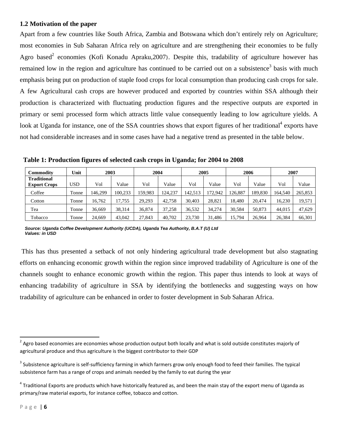#### **1.2 Motivation of the paper**

Apart from a few countries like South Africa, Zambia and Botswana which don't entirely rely on Agriculture; most economies in Sub Saharan Africa rely on agriculture and are strengthening their economies to be fully Agro based<sup>2</sup> economies (Kofi Konadu Apraku, 2007). Despite this, tradability of agriculture however has remained low in the region and agriculture has continued to be carried out on a subsistence<sup>3</sup> basis with much emphasis being put on production of staple food crops for local consumption than producing cash crops for sale. A few Agricultural cash crops are however produced and exported by countries within SSA although their production is characterized with fluctuating production figures and the respective outputs are exported in primary or semi processed form which attracts little value consequently leading to low agriculture yields. A look at Uganda for instance, one of the SSA countries shows that export figures of her traditional<sup>4</sup> exports have not had considerable increases and in some cases have had a negative trend as presented in the table below.

 **Table 1: Production figures of selected cash crops in Uganda; for 2004 to 2008** 

| Commodity           | Unit       | 2003    |         |        | 2004    |         | 2005    |         | 2006    |         | 2007    |
|---------------------|------------|---------|---------|--------|---------|---------|---------|---------|---------|---------|---------|
| <b>Traditional</b>  |            |         |         |        |         |         |         |         |         |         |         |
| <b>Export Crops</b> | <b>USD</b> | Vol     | Value   | Vol    | Value   | Vol     | Value   | Vol     | Value   | Vol     | Value   |
| Coffee              | Tonne      | 146.299 | 100.233 | 59.983 | 124.237 | 142.513 | 172.942 | 126,887 | 189.830 | 164.540 | 265,853 |
| Cotton              | Tonne      | 16.762  | 17,755  | 29.293 | 42,758  | 30.403  | 28.821  | 18.480  | 20,474  | 16.230  | 19,571  |
| Tea                 | Tonne      | 36,669  | 38,314  | 36,874 | 37,258  | 36,532  | 34.274  | 30.584  | 50,873  | 44,015  | 47.629  |
| Tobacco             | Tonne      | 24,669  | 43,042  | 27,843 | 40,702  | 23,730  | 31,486  | 15,794  | 26,964  | 26,384  | 66,301  |

 *Source: Uganda Coffee Development Authority (UCDA), Uganda Tea Authority, B.A.T (U) Ltd Values: in USD* 

 This has thus presented a setback of not only hindering agricultural trade development but also stagnating efforts on enhancing economic growth within the region since improved tradability of Agriculture is one of the channels sought to enhance economic growth within the region. This paper thus intends to look at ways of enhancing tradability of agriculture in SSA by identifying the bottlenecks and suggesting ways on how tradability of agriculture can be enhanced in order to foster development in Sub Saharan Africa.

 $^2$  Agro based economies are economies whose production output both locally and what is sold outside constitutes majorly of agricultural produce and thus agriculture is the biggest contributor to their GDP

<sup>&</sup>lt;sup>3</sup> Subsistence agriculture is self-sufficiency farming in which farmers grow only enough food to feed their families. The typical subsistence farm has a range of crops and animals needed by the family to eat during the year

 $4$  Traditional Exports are products which have historically featured as, and been the main stay of the export menu of Uganda as primary/raw material exports, for instance coffee, tobacco and cotton.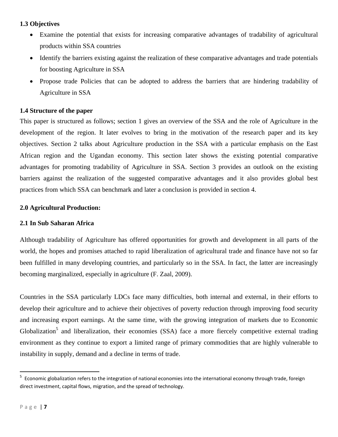#### **1.3 Objectives**

- Examine the potential that exists for increasing comparative advantages of tradability of agricultural products within SSA countries
- Identify the barriers existing against the realization of these comparative advantages and trade potentials for boosting Agriculture in SSA
- Propose trade Policies that can be adopted to address the barriers that are hindering tradability of Agriculture in SSA

#### **1.4 Structure of the paper**

This paper is structured as follows; section 1 gives an overview of the SSA and the role of Agriculture in the development of the region. It later evolves to bring in the motivation of the research paper and its key objectives. Section 2 talks about Agriculture production in the SSA with a particular emphasis on the East African region and the Ugandan economy. This section later shows the existing potential comparative advantages for promoting tradability of Agriculture in SSA. Section 3 provides an outlook on the existing barriers against the realization of the suggested comparative advantages and it also provides global best practices from which SSA can benchmark and later a conclusion is provided in section 4.

#### **2.0 Agricultural Production:**

#### **2.1 In Sub Saharan Africa**

Although tradability of Agriculture has offered opportunities for growth and development in all parts of the world, the hopes and promises attached to rapid liberalization of agricultural trade and finance have not so far been fulfilled in many developing countries, and particularly so in the SSA. In fact, the latter are increasingly becoming marginalized, especially in agriculture (F. Zaal, 2009).

Countries in the SSA particularly LDCs face many difficulties, both internal and external, in their efforts to develop their agriculture and to achieve their objectives of poverty reduction through improving food security and increasing export earnings. At the same time, with the growing integration of markets due to Economic Globalization<sup>5</sup> and liberalization, their economies (SSA) face a more fiercely competitive external trading environment as they continue to export a limited range of primary commodities that are highly vulnerable to instability in supply, demand and a decline in terms of trade.

<sup>&</sup>lt;sup>5</sup> Economic globalization refers to the integration of national economies into the international economy through trade, foreign direct investment, capital flows, migration, and the spread of technology.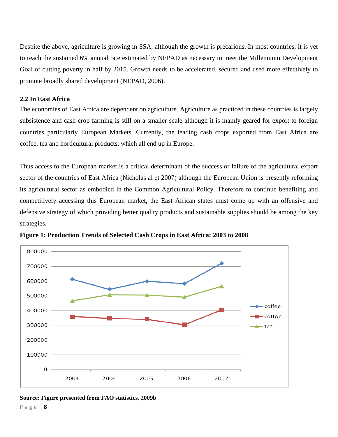Despite the above, agriculture is growing in SSA, although the growth is precarious. In most countries, it is yet to reach the sustained 6% annual rate estimated by NEPAD as necessary to meet the Millennium Development Goal of cutting poverty in half by 2015. Growth needs to be accelerated, secured and used more effectively to promote broadly shared development (NEPAD, 2006).

#### **2.2 In East Africa**

The economies of East Africa are dependent on agriculture. Agriculture as practiced in these countries is largely subsistence and cash crop farming is still on a smaller scale although it is mainly geared for export to foreign countries particularly European Markets. Currently, the leading cash crops exported from East Africa are coffee, tea and horticultural products, which all end up in Europe.

Thus access to the European market is a critical determinant of the success or failure of the agricultural export sector of the countries of East Africa (Nicholas al et 2007) although the European Union is presently reforming its agricultural sector as embodied in the Common Agricultural Policy. Therefore to continue benefiting and competitively accessing this European market, the East African states must come up with an offensive and defensive strategy of which providing better quality products and sustainable supplies should be among the key strategies.



**Figure 1: Production Trends of Selected Cash Crops in East Africa: 2003 to 2008** 

Page | **8 Source: Figure presented from FAO statistics, 2009b**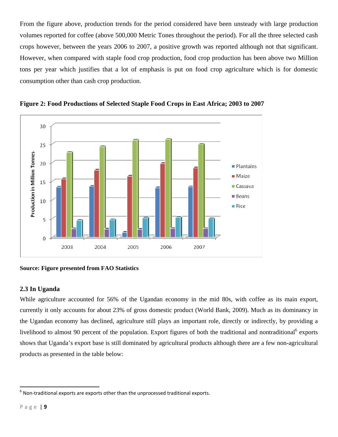From the figure above, production trends for the period considered have been unsteady with large production volumes reported for coffee (above 500,000 Metric Tones throughout the period). For all the three selected cash crops however, between the years 2006 to 2007, a positive growth was reported although not that significant. However, when compared with staple food crop production, food crop production has been above two Million tons per year which justifies that a lot of emphasis is put on food crop agriculture which is for domestic consumption other than cash crop production.





#### **Source: Figure presented from FAO Statistics**

#### **2.3 In Uganda**

While agriculture accounted for 56% of the Ugandan economy in the mid 80s, with coffee as its main export, currently it only accounts for about 23% of gross domestic product (World Bank, 2009). Much as its dominancy in the Ugandan economy has declined, agriculture still plays an important role, directly or indirectly, by providing a livelihood to almost 90 percent of the population. Export figures of both the traditional and nontraditional<sup>6</sup> exports shows that Uganda's export base is still dominated by agricultural products although there are a few non-agricultural products as presented in the table below:

 $6$  Non-traditional exports are exports other than the unprocessed traditional exports.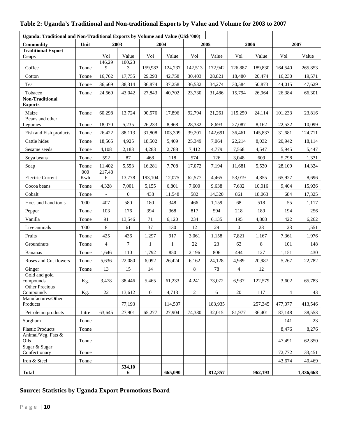#### **Uganda: Traditional and Non-Traditional Exports by Volume and Value (US\$ '000) Commodity Unit 2003 2004 2005 2006 2007 Traditional Export Crops** Vol Value Vol Value Vol Value Vol Value Vol Value Coffee Tonne 146,29 9 100,23 3 159,983 124,237 142,513 172,942 126,887 189,830 164,540 265,853 Cotton Tonne 16,762 17,755 29,293 42,758 30,403 28,821 18,480 20,474 16,230 19,571 Tea 10 | Tonne | 36,669 | 38,314 | 36,874 | 37,258 | 36,532 | 34,274 | 30,584 | 50,873 | 44,015 | 47,629 Tobacco Tonne 24,669 43,042 27,843 40,702 23,730 31,486 15,794 26,964 26,384 66,301 **Non-Traditional Exports**  Maize Tonne 60,298 13,724 90,576 17,896 92,794 21,261 115,259 24,114 101,233 23,816 Beans and other Legumes Tonne 18,070 5,235 26,233 8,968 28,332 8,693 27,087 8,162 22,532 10,099 Fish and Fish products Tonne 26,422 88,113 31,808 103,309 39,201 142,691 36,461 145,837 31,681 124,711 Cattle hides Tonne | 18,565 | 4,925 | 18,502 | 5,409 | 25,349 | 7,064 | 22,214 | 8,032 | 20,942 | 18,114 Sesame seeds Tonne | 4,108 | 2,183 | 4,283 | 2,788 | 7,412 | 4,779 | 7,568 | 4,547 | 5,945 | 5,447 Soya beans Tonne 592 87 468 118 574 126 3,048 609 5,798 1,331 Soap Tonne 11,402 5,553 16,281 7,708 17,072 7,194 11,681 5,530 28,109 14,324 Electric Current 000 Kwh 217,48 6 | 13,778 | 193,104 | 12,075 | 62,577 | 4,465 | 53,019 | 4,855 | 65,927 | 8,696 Cocoa beans Tonne | 4,328 | 7,001 | 5,155 | 6,801 | 7,600 | 9,638 | 7,632 | 10,016 | 9,404 | 15,936 Cobalt Tonne - 0 438 11,548 582 14,320 861 18,063 684 17,325 Hoes and hand tools | '000 | 407 | 580 | 180 | 348 | 466 | 1,159 | 68 | 518 | 55 | 1,117 Pepper 103 | 176 | 394 | 368 | 817 | 594 | 218 | 189 | 194 | 256 Vanilla Tonne 91 13,546 71 6,120 234 6,135 195 4,808 422 6,262 Live animals ( 1000 | 8 | 61 | 37 | 130 | 12 | 29 | 0 | 28 | 23 | 1,551 Fruits Tonne 425 436 1,297 917 3,061 1,158 7,821 1,167 7,361 1,976 Groundnuts Tonne | 4 | 7 | 1 | 1 | 22 | 23 | 63 | 8 | 101 | 148 Bananas 1 | Tonne | 1,646 | 110 | 1,792 | 850 | 2,196 | 806 | 494 | 127 | 1,151 | 430 Roses and Cut flowers Tonne 5,636 22,080 6,092 26,424 6,162 24,128 4,989 20,987 5,267 22,782 Ginger 13 15 14 18 78 4 12 Gold and gold compounds Kg. 3,478 38,446 5,465 61,233 4,241 73,072 6,937 122,579 3,602 65,783 Other Precious Compounds Kg. 22 13,612 0 4,713 2 6 20 117 4 43 Manufactures/Other Products 19. 1.1.4.507 114,507 114,507 183,935 1257,345 127,077 1413,546 Petroleum products Litre 63,645 27,901 65,277 27,904 74,380 32,015 81,977 36,401 87,148 38,553 Sorghum Tonne 141 23 Plastic Products Tonne | | | | | | | | | 8,476 8,276 Animal/Veg. Fats & Oils Tonne 47,491 62,850 Sugar & Sugar Confectionary Tonne 72,772 33,451 Iron & Steel Tonne | | | | | | | | | | | | | | 43,674 | 40,469 **Total 534,10 6 6 665,090 812,857 962,193 1,336,668**

#### **Table 2: Uganda's Traditional and Non-traditional Exports by Value and Volume for 2003 to 2007**

#### **Source: Statistics by Uganda Export Promotions Board**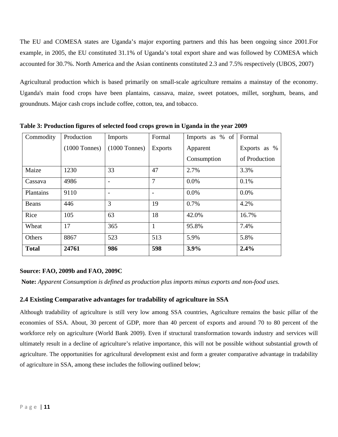The EU and COMESA states are Uganda's major exporting partners and this has been ongoing since 2001.For example, in 2005, the EU constituted 31.1% of Uganda's total export share and was followed by COMESA which accounted for 30.7%. North America and the Asian continents constituted 2.3 and 7.5% respectively (UBOS, 2007)

Agricultural production which is based primarily on small-scale agriculture remains a mainstay of the economy. Uganda's main food crops have been plantains, cassava, maize, sweet potatoes, millet, sorghum, beans, and groundnuts. Major cash crops include coffee, cotton, tea, and tobacco.

| Commodity    | Production      | Imports         | Formal         | Imports as % of | Formal        |
|--------------|-----------------|-----------------|----------------|-----------------|---------------|
|              | $(1000$ Tonnes) | $(1000$ Tonnes) | <b>Exports</b> | Apparent        | Exports as %  |
|              |                 |                 |                | Consumption     | of Production |
| Maize        | 1230            | 33              | 47             | 2.7%            | 3.3%          |
| Cassava      | 4986            |                 | $\overline{7}$ | 0.0%            | 0.1%          |
| Plantains    | 9110            |                 |                | 0.0%            | 0.0%          |
| Beans        | 446             | 3               | 19             | 0.7%            | 4.2%          |
| Rice         | 105             | 63              | 18             | 42.0%           | 16.7%         |
| Wheat        | 17              | 365             | 1              | 95.8%           | 7.4%          |
| Others       | 8867            | 523             | 513            | 5.9%            | 5.8%          |
| <b>Total</b> | 24761           | 986             | 598            | 3.9%            | 2.4%          |

**Table 3: Production figures of selected food crops grown in Uganda in the year 2009** 

#### **Source: FAO, 2009b and FAO, 2009C**

 **Note:** *Apparent Consumption is defined as production plus imports minus exports and non-food uses.* 

#### **2.4 Existing Comparative advantages for tradability of agriculture in SSA**

Although tradability of agriculture is still very low among SSA countries, Agriculture remains the basic pillar of the economies of SSA. About, 30 percent of GDP, more than 40 percent of exports and around 70 to 80 percent of the workforce rely on agriculture (World Bank 2009). Even if structural transformation towards industry and services will ultimately result in a decline of agriculture's relative importance, this will not be possible without substantial growth of agriculture. The opportunities for agricultural development exist and form a greater comparative advantage in tradability of agriculture in SSA, among these includes the following outlined below;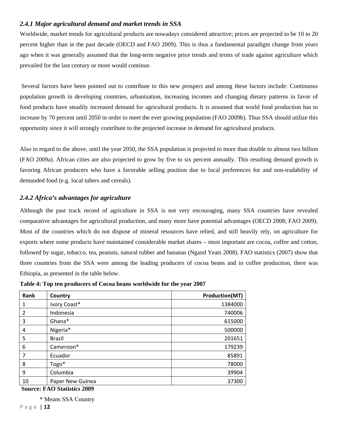#### *2.4.1 Major agricultural demand and market trends in SSA*

Worldwide, market trends for agricultural products are nowadays considered attractive; prices are projected to be 10 to 20 percent higher than in the past decade (OECD and FAO 2009). This is thus a fundamental paradigm change from years ago when it was generally assumed that the long-term negative price trends and terms of trade against agriculture which prevailed for the last century or more would continue.

 Several factors have been pointed out to contribute to this new prospect and among these factors include: Continuous population growth in developing countries, urbanization, increasing incomes and changing dietary patterns in favor of food products have steadily increased demand for agricultural products. It is assumed that world food production has to increase by 70 percent until 2050 in order to meet the ever growing population (FAO 2009b). Thus SSA should utilize this opportunity since it will strongly contribute to the projected increase in demand for agricultural products.

Also in regard to the above, until the year 2050, the SSA population is projected to more than double to almost two billion (FAO 2009a). African cities are also projected to grow by five to six percent annually. This resulting demand growth is favoring African producers who have a favorable selling position due to local preferences for and non-tradability of demanded food (e.g. local tubers and cereals).

#### *2.4.2 Africa's advantages for agriculture*

Although the past track record of agriculture in SSA is not very encouraging, many SSA countries have revealed comparative advantages for agricultural production, and many more have potential advantages (OECD 2008; FAO 2009). Most of the countries which do not dispose of mineral resources have relied, and still heavily rely, on agriculture for exports where some products have maintained considerable market shares – most important are cocoa, coffee and cotton, followed by sugar, tobacco, tea, peanuts, natural rubber and bananas (Ngand Yeats 2008). FAO statistics (2007) show that three countries from the SSA were among the leading producers of cocoa beans and in coffee production, there was Ethiopia, as presented in the table below.

| Rank | Country          | <b>Production(MT)</b> |
|------|------------------|-----------------------|
|      | Ivory Coast*     | 1384000               |
| 2    | Indonesia        | 740006                |
| 3    | Ghana*           | 615000                |
| 4    | Nigeria*         | 500000                |
| 5    | <b>Brazil</b>    | 201651                |
| 6    | Cameroon*        | 179239                |
|      | Ecuador          | 85891                 |
| 8    | Togo*            | 78000                 |
| 9    | Columbia         | 39904                 |
| 10   | Paper New Guinea | 37300                 |

**Table 4: Top ten producers of Cocoa beans worldwide for the year 2007** 

 **Source: FAO Statistics 2009** 

\* Means SSA Country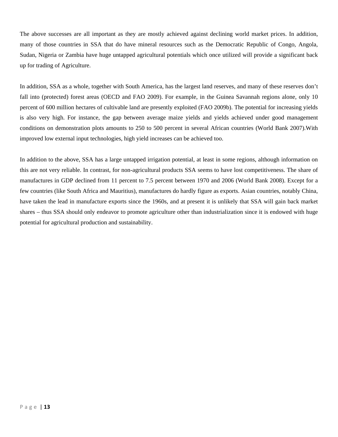The above successes are all important as they are mostly achieved against declining world market prices. In addition, many of those countries in SSA that do have mineral resources such as the Democratic Republic of Congo, Angola, Sudan, Nigeria or Zambia have huge untapped agricultural potentials which once utilized will provide a significant back up for trading of Agriculture.

In addition, SSA as a whole, together with South America, has the largest land reserves, and many of these reserves don't fall into (protected) forest areas (OECD and FAO 2009). For example, in the Guinea Savannah regions alone, only 10 percent of 600 million hectares of cultivable land are presently exploited (FAO 2009b). The potential for increasing yields is also very high. For instance, the gap between average maize yields and yields achieved under good management conditions on demonstration plots amounts to 250 to 500 percent in several African countries (World Bank 2007).With improved low external input technologies, high yield increases can be achieved too.

In addition to the above, SSA has a large untapped irrigation potential, at least in some regions, although information on this are not very reliable. In contrast, for non-agricultural products SSA seems to have lost competitiveness. The share of manufactures in GDP declined from 11 percent to 7.5 percent between 1970 and 2006 (World Bank 2008). Except for a few countries (like South Africa and Mauritius), manufactures do hardly figure as exports. Asian countries, notably China, have taken the lead in manufacture exports since the 1960s, and at present it is unlikely that SSA will gain back market shares – thus SSA should only endeavor to promote agriculture other than industrialization since it is endowed with huge potential for agricultural production and sustainability.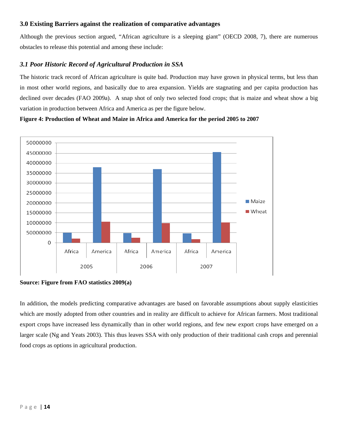#### **3.0 Existing Barriers against the realization of comparative advantages**

Although the previous section argued, "African agriculture is a sleeping giant" (OECD 2008, 7), there are numerous obstacles to release this potential and among these include:

#### *3.1 Poor Historic Record of Agricultural Production in SSA*

The historic track record of African agriculture is quite bad. Production may have grown in physical terms, but less than in most other world regions, and basically due to area expansion. Yields are stagnating and per capita production has declined over decades (FAO 2009a). A snap shot of only two selected food crops; that is maize and wheat show a big variation in production between Africa and America as per the figure below.

#### **Figure 4: Production of Wheat and Maize in Africa and America for the period 2005 to 2007**



**Source: Figure from FAO statistics 2009(a)** 

In addition, the models predicting comparative advantages are based on favorable assumptions about supply elasticities which are mostly adopted from other countries and in reality are difficult to achieve for African farmers. Most traditional export crops have increased less dynamically than in other world regions, and few new export crops have emerged on a larger scale (Ng and Yeats 2003). This thus leaves SSA with only production of their traditional cash crops and perennial food crops as options in agricultural production.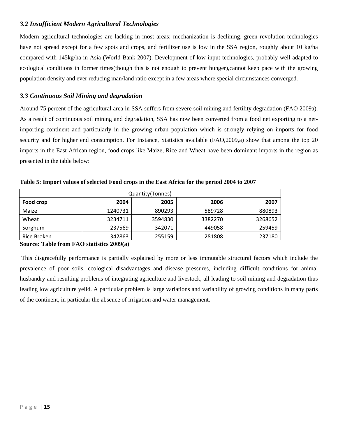#### *3.2 Insufficient Modern Agricultural Technologies*

Modern agricultural technologies are lacking in most areas: mechanization is declining, green revolution technologies have not spread except for a few spots and crops, and fertilizer use is low in the SSA region, roughly about 10 kg/ha compared with 145kg/ha in Asia (World Bank 2007). Development of low-input technologies, probably well adapted to ecological conditions in former times(though this is not enough to prevent hunger),cannot keep pace with the growing population density and ever reducing man/land ratio except in a few areas where special circumstances converged.

#### *3.3 Continuous Soil Mining and degradation*

Around 75 percent of the agricultural area in SSA suffers from severe soil mining and fertility degradation (FAO 2009a). As a result of continuous soil mining and degradation, SSA has now been converted from a food net exporting to a netimporting continent and particularly in the growing urban population which is strongly relying on imports for food security and for higher end consumption. For Instance, Statistics available (FAO,2009,a) show that among the top 20 imports in the East African region, food crops like Maize, Rice and Wheat have been dominant imports in the region as presented in the table below:

| Quantity (Tonnes) |         |         |         |         |  |  |  |  |  |
|-------------------|---------|---------|---------|---------|--|--|--|--|--|
| Food crop         | 2004    | 2005    | 2006    | 2007    |  |  |  |  |  |
| Maize             | 1240731 | 890293  | 589728  | 880893  |  |  |  |  |  |
| Wheat             | 3234711 | 3594830 | 3382270 | 3268652 |  |  |  |  |  |
| Sorghum           | 237569  | 342071  | 449058  | 259459  |  |  |  |  |  |
| Rice Broken       | 342863  | 255159  | 281808  | 237180  |  |  |  |  |  |

**Table 5: Import values of selected Food crops in the East Africa for the period 2004 to 2007** 

**Source: Table from FAO statistics 2009(a)** 

 This disgracefully performance is partially explained by more or less immutable structural factors which include the prevalence of poor soils, ecological disadvantages and disease pressures, including difficult conditions for animal husbandry and resulting problems of integrating agriculture and livestock, all leading to soil mining and degradation thus leading low agriculture yeild. A particular problem is large variations and variability of growing conditions in many parts of the continent, in particular the absence of irrigation and water management.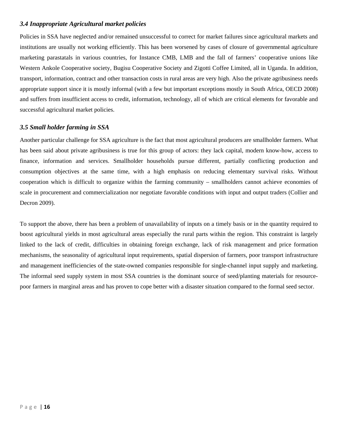#### *3.4 Inappropriate Agricultural market policies*

Policies in SSA have neglected and/or remained unsuccessful to correct for market failures since agricultural markets and institutions are usually not working efficiently. This has been worsened by cases of closure of governmental agriculture marketing parastatals in various countries, for Instance CMB, LMB and the fall of farmers' cooperative unions like Western Ankole Cooperative society, Bugisu Cooperative Society and Zigotti Coffee Limited, all in Uganda. In addition, transport, information, contract and other transaction costs in rural areas are very high. Also the private agribusiness needs appropriate support since it is mostly informal (with a few but important exceptions mostly in South Africa, OECD 2008) and suffers from insufficient access to credit, information, technology, all of which are critical elements for favorable and successful agricultural market policies.

#### *3.5 Small holder farming in SSA*

Another particular challenge for SSA agriculture is the fact that most agricultural producers are smallholder farmers. What has been said about private agribusiness is true for this group of actors: they lack capital, modern know-how, access to finance, information and services. Smallholder households pursue different, partially conflicting production and consumption objectives at the same time, with a high emphasis on reducing elementary survival risks. Without cooperation which is difficult to organize within the farming community – smallholders cannot achieve economies of scale in procurement and commercialization nor negotiate favorable conditions with input and output traders (Collier and Decron 2009).

To support the above, there has been a problem of unavailability of inputs on a timely basis or in the quantity required to boost agricultural yields in most agricultural areas especially the rural parts within the region. This constraint is largely linked to the lack of credit, difficulties in obtaining foreign exchange, lack of risk management and price formation mechanisms, the seasonality of agricultural input requirements, spatial dispersion of farmers, poor transport infrastructure and management inefficiencies of the state-owned companies responsible for single-channel input supply and marketing. The informal seed supply system in most SSA countries is the dominant source of seed/planting materials for resourcepoor farmers in marginal areas and has proven to cope better with a disaster situation compared to the formal seed sector.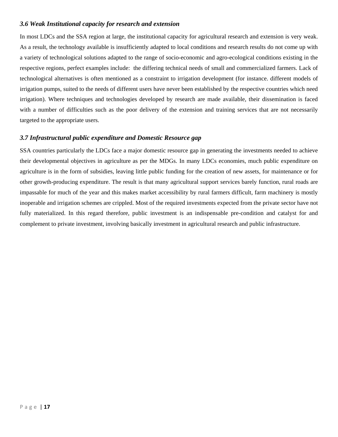#### *3.6 Weak Institutional capacity for research and extension*

In most LDCs and the SSA region at large, the institutional capacity for agricultural research and extension is very weak. As a result, the technology available is insufficiently adapted to local conditions and research results do not come up with a variety of technological solutions adapted to the range of socio-economic and agro-ecological conditions existing in the respective regions, perfect examples include: the differing technical needs of small and commercialized farmers. Lack of technological alternatives is often mentioned as a constraint to irrigation development (for instance. different models of irrigation pumps, suited to the needs of different users have never been established by the respective countries which need irrigation). Where techniques and technologies developed by research are made available, their dissemination is faced with a number of difficulties such as the poor delivery of the extension and training services that are not necessarily targeted to the appropriate users.

#### *3.7 Infrastructural public expenditure and Domestic Resource gap*

SSA countries particularly the LDCs face a major domestic resource gap in generating the investments needed to achieve their developmental objectives in agriculture as per the MDGs. In many LDCs economies, much public expenditure on agriculture is in the form of subsidies, leaving little public funding for the creation of new assets, for maintenance or for other growth-producing expenditure. The result is that many agricultural support services barely function, rural roads are impassable for much of the year and this makes market accessibility by rural farmers difficult, farm machinery is mostly inoperable and irrigation schemes are crippled. Most of the required investments expected from the private sector have not fully materialized. In this regard therefore, public investment is an indispensable pre-condition and catalyst for and complement to private investment, involving basically investment in agricultural research and public infrastructure.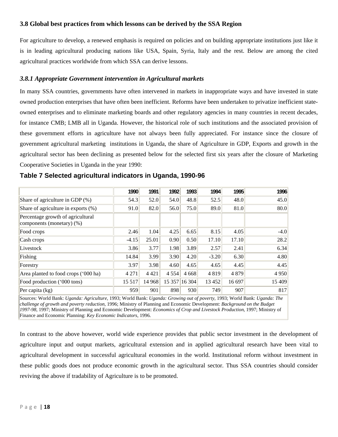#### **3.8 Global best practices from which lessons can be derived by the SSA Region**

For agriculture to develop, a renewed emphasis is required on policies and on building appropriate institutions just like it is in leading agricultural producing nations like USA, Spain, Syria, Italy and the rest. Below are among the cited agricultural practices worldwide from which SSA can derive lessons.

#### *3.8.1 Appropriate Government intervention in Agricultural markets*

In many SSA countries, governments have often intervened in markets in inappropriate ways and have invested in state owned production enterprises that have often been inefficient. Reforms have been undertaken to privatize inefficient stateowned enterprises and to eliminate marketing boards and other regulatory agencies in many countries in recent decades, for instance CMB; LMB all in Uganda. However, the historical role of such institutions and the associated provision of these government efforts in agriculture have not always been fully appreciated. For instance since the closure of government agricultural marketing institutions in Uganda, the share of Agriculture in GDP, Exports and growth in the agricultural sector has been declining as presented below for the selected first six years after the closure of Marketing Cooperative Societies in Uganda in the year 1990:

|                                                                | 1990    | 1991    | 1992    | 1993          | 1994    | 1995    | 1996    |
|----------------------------------------------------------------|---------|---------|---------|---------------|---------|---------|---------|
| Share of agriculture in GDP (%)                                | 54.3    | 52.0    | 54.0    | 48.8          | 52.5    | 48.0    | 45.0    |
| Share of agriculture in exports (%)                            | 91.0    | 82.0    | 56.0    | 75.0          | 89.0    | 81.0    | 80.0    |
| Percentage growth of agricultural<br>components (monetary) (%) |         |         |         |               |         |         |         |
| Food crops                                                     | 2.46    | 1.04    | 4.25    | 6.65          | 8.15    | 4.05    | $-4.0$  |
| Cash crops                                                     | $-4.15$ | 25.01   | 0.90    | 0.50          | 17.10   | 17.10   | 28.2    |
| Livestock                                                      | 3.86    | 3.77    | 1.98    | 3.89          | 2.57    | 2.41    | 6.34    |
| Fishing                                                        | 14.84   | 3.99    | 3.90    | 4.20          | $-3.20$ | 6.30    | 4.80    |
| Forestry                                                       | 3.97    | 3.98    | 4.60    | 4.65          | 4.65    | 4.45    | 4.45    |
| Area planted to food crops ('000 ha)                           | 4 2 7 1 | 4 4 2 1 | 4 5 5 4 | 4 6 6 8       | 4819    | 4 8 7 9 | 4 9 5 0 |
| Food production ('000 tons)                                    | 15 5 17 | 14 9 68 |         | 15 357 16 304 | 13 4 52 | 16 697  | 15 409  |
| Per capita $(kg)$                                              | 959     | 901     | 898     | 930           | 749     | 907     | 817     |

|  |  | Table 7 Selected agricultural indicators in Uganda, 1990-96 |  |  |  |  |
|--|--|-------------------------------------------------------------|--|--|--|--|
|--|--|-------------------------------------------------------------|--|--|--|--|

Sources: World Bank: *Uganda: Agriculture*, 1993; World Bank: *Uganda: Growing out of poverty*, 1993; World Bank: *Uganda: The challenge of growth and poverty reduction*, 1996; Ministry of Planning and Economic Development: *Background on the Budget 1997-98*, 1997; Ministry of Planning and Economic Development: *Economics of Crop and Livestock Production*, 1997; Ministry of Finance and Economic Planning: *Key Economic Indicators*, 1996.

In contrast to the above however, world wide experience provides that public sector investment in the development of agriculture input and output markets, agricultural extension and in applied agricultural research have been vital to agricultural development in successful agricultural economies in the world. Institutional reform without investment in these public goods does not produce economic growth in the agricultural sector. Thus SSA countries should consider reviving the above if tradability of Agriculture is to be promoted.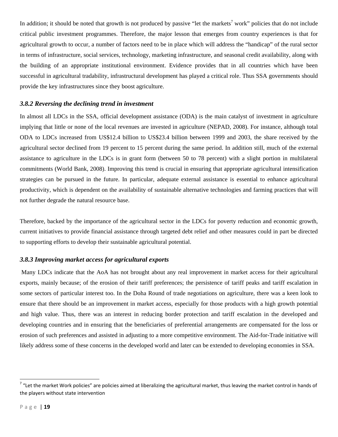In addition; it should be noted that growth is not produced by passive "let the markets<sup>7</sup> work" policies that do not include critical public investment programmes. Therefore, the major lesson that emerges from country experiences is that for agricultural growth to occur, a number of factors need to be in place which will address the "handicap" of the rural sector in terms of infrastructure, social services, technology, marketing infrastructure, and seasonal credit availability, along with the building of an appropriate institutional environment. Evidence provides that in all countries which have been successful in agricultural tradability, infrastructural development has played a critical role. Thus SSA governments should provide the key infrastructures since they boost agriculture.

#### *3.8.2 Reversing the declining trend in investment*

In almost all LDCs in the SSA, official development assistance (ODA) is the main catalyst of investment in agriculture implying that little or none of the local revenues are invested in agriculture (NEPAD, 2008). For instance, although total ODA to LDCs increased from US\$12.4 billion to US\$23.4 billion between 1999 and 2003, the share received by the agricultural sector declined from 19 percent to 15 percent during the same period. In addition still, much of the external assistance to agriculture in the LDCs is in grant form (between 50 to 78 percent) with a slight portion in multilateral commitments (World Bank, 2008). Improving this trend is crucial in ensuring that appropriate agricultural intensification strategies can be pursued in the future. In particular, adequate external assistance is essential to enhance agricultural productivity, which is dependent on the availability of sustainable alternative technologies and farming practices that will not further degrade the natural resource base.

Therefore, backed by the importance of the agricultural sector in the LDCs for poverty reduction and economic growth, current initiatives to provide financial assistance through targeted debt relief and other measures could in part be directed to supporting efforts to develop their sustainable agricultural potential.

#### *3.8.3 Improving market access for agricultural exports*

Many LDCs indicate that the AoA has not brought about any real improvement in market access for their agricultural exports, mainly because; of the erosion of their tariff preferences; the persistence of tariff peaks and tariff escalation in some sectors of particular interest too. In the Doha Round of trade negotiations on agriculture, there was a keen look to ensure that there should be an improvement in market access, especially for those products with a high growth potential and high value. Thus, there was an interest in reducing border protection and tariff escalation in the developed and developing countries and in ensuring that the beneficiaries of preferential arrangements are compensated for the loss or erosion of such preferences and assisted in adjusting to a more competitive environment. The Aid-for-Trade initiative will likely address some of these concerns in the developed world and later can be extended to developing economies in SSA.

 $7$  "Let the market Work policies" are policies aimed at liberalizing the agricultural market, thus leaving the market control in hands of the players without state intervention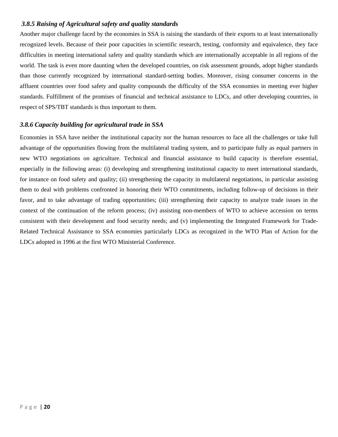#### *3.8.5 Raising of Agricultural safety and quality standards*

Another major challenge faced by the economies in SSA is raising the standards of their exports to at least internationally recognized levels. Because of their poor capacities in scientific research, testing, conformity and equivalence, they face difficulties in meeting international safety and quality standards which are internationally acceptable in all regions of the world. The task is even more daunting when the developed countries, on risk assessment grounds, adopt higher standards than those currently recognized by international standard-setting bodies. Moreover, rising consumer concerns in the affluent countries over food safety and quality compounds the difficulty of the SSA economies in meeting ever higher standards. Fulfillment of the promises of financial and technical assistance to LDCs, and other developing countries, in respect of SPS/TBT standards is thus important to them.

#### *3.8.6 Capacity building for agricultural trade in SSA*

Economies in SSA have neither the institutional capacity nor the human resources to face all the challenges or take full advantage of the opportunities flowing from the multilateral trading system, and to participate fully as equal partners in new WTO negotiations on agriculture. Technical and financial assistance to build capacity is therefore essential, especially in the following areas: (i) developing and strengthening institutional capacity to meet international standards, for instance on food safety and quality; (ii) strengthening the capacity in multilateral negotiations, in particular assisting them to deal with problems confronted in honoring their WTO commitments, including follow-up of decisions in their favor, and to take advantage of trading opportunities; (iii) strengthening their capacity to analyze trade issues in the context of the continuation of the reform process; (iv) assisting non-members of WTO to achieve accession on terms consistent with their development and food security needs; and (v) implementing the Integrated Framework for Trade-Related Technical Assistance to SSA economies particularly LDCs as recognized in the WTO Plan of Action for the LDCs adopted in 1996 at the first WTO Ministerial Conference.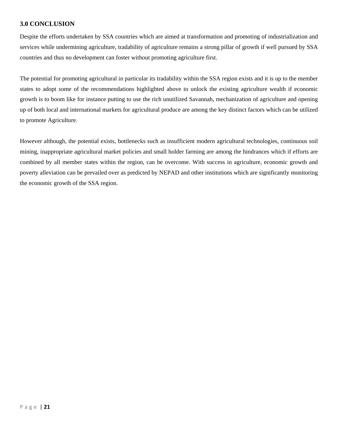#### **3.0 CONCLUSION**

Despite the efforts undertaken by SSA countries which are aimed at transformation and promoting of industrialization and services while undermining agriculture, tradability of agriculture remains a strong pillar of growth if well pursued by SSA countries and thus no development can foster without promoting agriculture first.

The potential for promoting agricultural in particular its tradability within the SSA region exists and it is up to the member states to adopt some of the recommendations highlighted above to unlock the existing agriculture wealth if economic growth is to boom like for instance putting to use the rich unutilized Savannah, mechanization of agriculture and opening up of both local and international markets for agricultural produce are among the key distinct factors which can be utilized to promote Agriculture.

However although, the potential exists, bottlenecks such as insufficient modern agricultural technologies, continuous soil mining, inappropriate agricultural market policies and small holder farming are among the hindrances which if efforts are combined by all member states within the region, can be overcome. With success in agriculture, economic growth and poverty alleviation can be prevailed over as predicted by NEPAD and other institutions which are significantly monitoring the economic growth of the SSA region.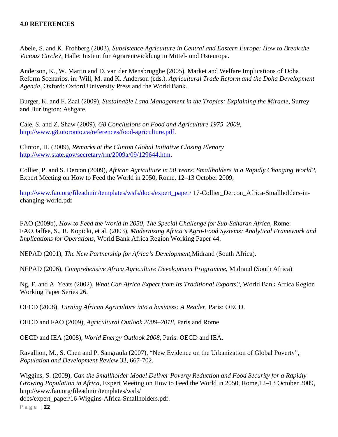#### **4.0 REFERENCES**

Abele, S. and K. Frohberg (2003), *Subsistence Agriculture in Central and Eastern Europe: How to Break the Vicious Circle?,* Halle: Institut fur Agrarentwicklung in Mittel- und Osteuropa.

Anderson, K., W. Martin and D. van der Mensbrugghe (2005), Market and Welfare Implications of Doha Reform Scenarios, in: Will, M. and K. Anderson (eds.), *Agricultural Trade Reform and the Doha Development Agenda,* Oxford: Oxford University Press and the World Bank.

Burger, K. and F. Zaal (2009), *Sustainable Land Management in the Tropics: Explaining the Miracle,* Surrey and Burlington: Ashgate.

Cale, S. and Z. Shaw (2009), *G8 Conclusions on Food and Agriculture 1975–2009,*  http://www.g8.utoronto.ca/references/food-agriculture.pdf.

Clinton, H. (2009), *Remarks at the Clinton Global Initiative Closing Plenary*  http://www.state.gov/secretary/rm/2009a/09/129644.htm.

Collier, P. and S. Dercon (2009), *African Agriculture in 50 Years: Smallholders in a Rapidly Changing World?,*  Expert Meeting on How to Feed the World in 2050, Rome, 12–13 October 2009,

http://www.fao.org/fileadmin/templates/wsfs/docs/expert\_paper/ 17-Collier\_Dercon\_Africa-Smallholders-inchanging-world.pdf

FAO (2009b), *How to Feed the World in 2050, The Special Challenge for Sub-Saharan Africa,* Rome: FAO.Jaffee, S., R. Kopicki, et al. (2003), *Modernizing Africa's Agro-Food Systems: Analytical Framework and Implications for Operations,* World Bank Africa Region Working Paper 44.

NEPAD (2001), *The New Partnership for Africa's Development,*Midrand (South Africa).

NEPAD (2006), *Comprehensive Africa Agriculture Development Programme,* Midrand (South Africa)

Ng, F. and A. Yeats (2002), *What Can Africa Expect from Its Traditional Exports?,* World Bank Africa Region Working Paper Series 26.

OECD (2008), *Turning African Agriculture into a business: A Reader*, Paris: OECD.

OECD and FAO (2009), *Agricultural Outlook 2009–2018,* Paris and Rome

OECD and IEA (2008), *World Energy Outlook 2008,* Paris: OECD and IEA.

Ravallion, M., S. Chen and P. Sangraula (2007), "New Evidence on the Urbanization of Global Poverty", *Population and Development Review* 33, 667-702.

Wiggins, S. (2009), *Can the Smallholder Model Deliver Poverty Reduction and Food Security for a Rapidly Growing Population in Africa,* Expert Meeting on How to Feed the World in 2050, Rome,12–13 October 2009, http://www.fao.org/fileadmin/templates/wsfs/ docs/expert\_paper/16-Wiggins-Africa-Smallholders.pdf.

Page | **22**